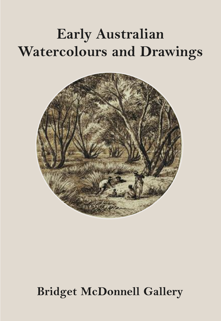## **Early Australian Watercolours and Drawings**



## **Bridget McDonnell Gallery**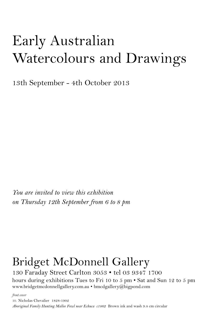# Early Australian Watercolours and Drawings

13th September - 4th October 2013

*You are invited to view this exhibition on Thursday 12th September from 6 to 8 pm*

### Bridget McDonnell Gallery 130 Faraday Street Carlton 3053 • tel 03 9347 1700

hours during exhibitions Tues to Fri 10 to 5 pm • Sat and Sun 12 to 5 pm www.bridgetmcdonnellgallery.com.au • bmcdgallery@bigpond.com

*front cover*

10. Nicholas Chevalier 1828-1902 *Aboriginal Family Hunting Mallee Fowl near Echuca c1862* Brown ink and wash 9.4 cm circular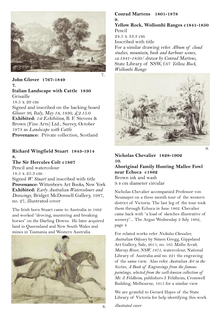

#### **John Glover 1767-1849 7. Italian Landscape with Cattle 1830** Grisaille 18.5 x 29 cm Signed and inscribed on the backing board *Glover 36, Italy, May 18, 1830, £2.15.0* **Exhibited:** *1st Exhibition,* B. F. Stevens & Brown (Fine Arts) Ltd., Surrey, October 1973 as *Landscape with Cattle* Provenance: Private collection, Scotland

#### **Richard Wingfield Stuart 1843-1914 8.**

**The Sir Hercules Colt c1867** Pencil and watercolour 18.5 x 25.3 cm Signed *W. Stuart* and inscribed with title **Provenance:** Wittenborn Art Books, New York **Exhibited:** *Early Australian Watercolours and Drawings,* Bridget McDonnell Gallery, 1987, no. 27, illustrated cover

The Irish born Stuart came to Australia in 1862 and worked "droving, mustering and breaking horses" on the Darling Downs. He later acquired land in Queensland and New South Wales and mines in Tasmania and Western Australia



#### **Conrad Martens 1801-1878 9.**

**Yellow Rock, Wollombi Ranges c1841-1850** Pencil 24.5 x 33.3 cm Inscribed with title For a similar drawing refer *Album of cloud studies, mountain, bush and harbour scenes, ca.1841-1850/ drawn by Conrad Martens,* State Library of NSW, f.67 *Yellow Rock, Wollombi Range*



**Nicholas Chevalier 1828-1902 10. Aboriginal Family Hunting Mallee Fowl near Echuca c1862** Brown ink and wash 9.4 cm diameter circular

Nicholas Chevalier accompanied Professor von Neumayer on a three month tour of the western district of Victoria. The last leg of the tour took them through Echuca in June 1862. Chevalier came back with "a load of sketches illustrative of scenery"... The Argus Wednesday 2 July 1862, page 4

For related works refer *Nicholas Chevalier, Australian Odyssey* by Simon Gregg, Gippsland Art Gallery, Sale, 2011, no. 165 *Mallee Scrub, Murray River, NSW, 1871*, watercolour, National Library of Australia and no. 221 the engraving of the same view. Also refer *Australian Art in the Sixties, A Book of Engravings from the famous paintings, selected from the well-known collection of Mr. J. Feldheim*, publishers J. Feldheim, Cromwell Building, Melbourne, 1915 for a similar view

We are grateful to Gerard Hayes of the State Library of Victoria for help identifying this work

*illustrated cover*

8.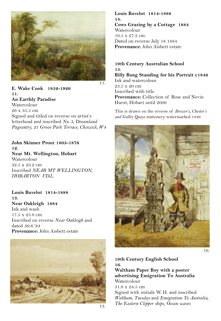

**E. Wake Cook 1852-1926 11. An Earthly Paradise** Watercolour 26 x 35.5 cm Signed and titled on reverse on artist's letterhead and inscribed *No. 3, Dreamland Pageantry, 21 Grove Park Terrace, Chiswick, W4*

**John Skinner Prout 1805-1876 1***Q* **Near Mt. Wellington, Hobart** Watercolour 32.5 x 23.2 cm Inscribed *NEAR MT WELLINGTON, HOBARTON V.D.L.*

**Louis Buvelot 1814-1888 13. Near Oakleigh 1884** Ink and wash 17.5 x 25.8 cm Inscribed on reverse *Near Oakleigh* and dated *30.6.'84* **Provenance:** John Aisbett estate



**Louis Buvelot 1814-1888 14. Cows Grazing by a Cottage 1884** Watercolour 19.5 x 27.3 cm Dated on reverse July 18 1884 **Provenance:** John Aisbett estate

#### **19th Century Australian School 15. Billy Bung Standing for his Portrait c1846**

Ink and watercolour 23.5 x 20 cm Inscribed with title **Provenance:** Collection of Rose and Nevin Hurst, Hobart until 2006

This is drawn on the reverse of *Brewer's, Chester's and Galley Quays* stationery watermarked 1846



**19th Century English School 16. Waltham Paper Boy with a poster advertising Emigration To Australia** Watercolour 31.8 x 24.5 cm Signed with initials W. H. and inscribed *Waltham, Tuesday* and *Emigration To Australia, The Eastern Clipper ships, Ocean waves*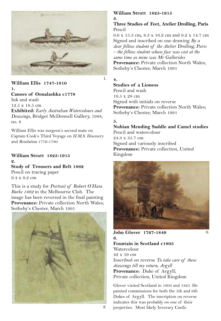

#### **William Ellis 1747-1810 1. Canoes of Oonalashka c1778** Ink and wash 12.5 x 18.5 cm

**Exhibited:** *Early Australian Watercolours and Drawings,* Bridget McDonnell Gallery, 1988, no. 8

William Ellis was surgeon's second mate on Captain Cook's Third Voyage on *H.M.S. Discovery* and *Resolution* 1776-1780

#### **William Strutt 1825-1915 2.**

**Study of Trousers and Belt 1862** Pencil on tracing paper 9.4 x 9.2 cm

This is a study for *Portrait of Robert O'Hara Burke 1862* in the Melbourne Club. The image has been reversed in the final painting **Provenance:** Private collection North Wales; Sotheby's Chester, March 1991



#### **William Strutt 1825-1915 3.**

**Three Studies of Feet, Atelier Drolling, Paris** Pencil

6.6 x 15.3 cm, 8.3 x 16.2 cm and 9.2 x 14.7 cm Signed and inscribed on one drawing *By a dear fellow student of the Atelier Drolling, Paris – the fellow student whose face was cast at the same time as mine was Mr Gallorides* **Provenance:** Private collection North Wales;

Sotheby's Chester, March 1991

#### **4.**

#### **Studies of a Lioness**

Pencil and wash 19.5 x 28 cm Signed with initials on reverse **Provenance:** Private collection North Wales; Sotheby's Chester, March 1991

#### **5.**

### **Nubian Mending Saddle and Camel studies**

Pencil and watercolour 24.3 x 35.7 cm Signed and variously inscribed **Provenance:** Private collection, United Kingdom



#### **John Glover 1767-1849 6.**

**Fountain in Scotland c1805** Watercolour 42 x 59 cm Inscribed on reverse *To take care of these drawings till my return, Argyll* **Provenance:** Duke of Argyll; Private collection, United Kingdom

Glover visited Scotland in 1803 and 1825. He painted commissions for both the 5th and 6th Dukes of Argyll. The inscription on reverse indicates this was probably on one of their 2. properties. Most likely Inverary Castle

6.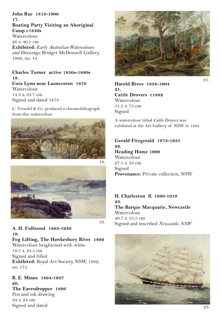**John Rae 1813-1900 17. Boating Party Visiting an Aboriginal Camp c1850s Watercolour** 26 x 40.5 cm **Exhibited:** *Early Australian Watercolours and Drawings,* Bridget McDonnell Gallery, 1999, no. 19

**Charles Turner active 1850s-1890s 18. Cora Lynn near Launceston 1878 Watercolour** 14.3 x 33.7 cm Signed and dated 1878

C. Troedel & Co. produced a chromolithograph from this watercolour





**19. Fog Lifting, The Hawkesbury River 1892** Watercolour heightened with white 19.5 x 33.5 cm Signed and titled **Exhibited:** Royal Art Society, NSW, 1892, no. 175

**B. E. Minns 1864-1937 20. The Eavesdropper 1896** Pen and ink drawing 24 x 24 cm Signed and dated

**A. H. Fullwood 1863-1930**



**Harold Brees 1838-1904 21 Cattle Drovers c1882 Watercolour** 51.5 x 75 cm Signed

A watercolour titled *Cattle Drovers* was exhibited at the Art Gallery of NSW in 1882

#### **Gerald Fitzgerald 1873-1935 22. Heading Home 1909**

Watercolour 27.5 x 33 cm Signed **Provenance:** Private collection, NSW

#### **H. Charleston fl. 1890-1919 23. The Barque Macquarie, Newcastle** Watercolour 40.7 <sup>x</sup> 55.5 cm 19. Signed and inscribed *Newcastle, NSW*

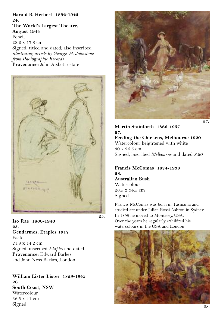**Harold B. Herbert 1892-1945 24. The World's Largest Theatre, August 1944** Pencil 28.2 x 17.8 cm Signed, titled and dated; also inscribed *illustrating article by George. H. Johnstone from Photographic Records* **Provenance:** John Aisbett estate



25.

**Iso Rae 1860-1940 25. Gendarmes, Etaples 1917** Pastel 21.8 x 14.2 cm Signed, inscribed *Etaples* and dated **Provenance:** Edward Barkes and John Ness Barkes, London

**William Lister Lister 1859-1943 26. South Coast, NSW** Watercolour 36.5 x 41 cm Signed



**Martin Stainforth 1866-1957 27. Feeding the Chickens, Melbourne 1920** Watercolour heightened with white 30 x 26.5 cm Signed, inscribed *Melbourne* and dated *8.20*

**Francis McComas 1874-1938 28.**

**Australian Bush Watercolour** 26.5 x 34.5 cm Signed

Francis McComas was born in Tasmania and studied art under Julian Rossi Ashton in Sydney. In 1899 he moved to Monterey, USA. Over the years he regularly exhibited his watercolours in the USA and London